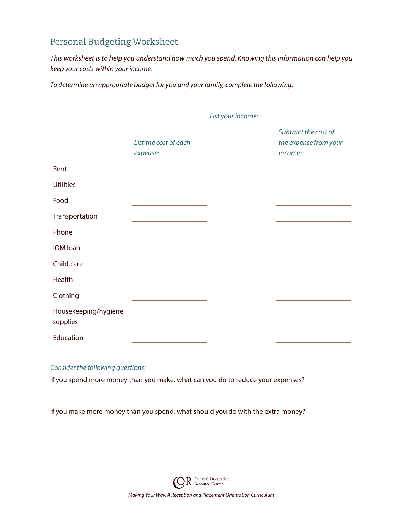## Personal Budgeting Worksheet

*This worksheet is to help you understand how much you spend. Knowing this information can help you keep your costs within your income.*

*List your income:*

*To determine an appropriate budget for you and your family, complete the following.*

|                                  |                                                                                                                       | List your income. |                                                          |
|----------------------------------|-----------------------------------------------------------------------------------------------------------------------|-------------------|----------------------------------------------------------|
|                                  | List the cost of each<br>expense:                                                                                     |                   | Subtract the cost of<br>the expense from your<br>income: |
| Rent                             |                                                                                                                       |                   |                                                          |
| <b>Utilities</b>                 | the control of the control of the control of the control of the control of                                            |                   |                                                          |
| Food                             |                                                                                                                       |                   |                                                          |
| Transportation                   |                                                                                                                       |                   |                                                          |
| Phone                            | <u> 1989 - Johann Harry Barn, mars ar breist fan de Fryske kommunent fan de Fryske kommunent fan de Fryske kommun</u> |                   |                                                          |
| IOM loan                         | the control of the control of the control of the control of the control of                                            |                   |                                                          |
| Child care                       | the control of the control of the control of the control of the control of                                            |                   |                                                          |
| Health                           |                                                                                                                       |                   |                                                          |
| Clothing                         | the control of the control of the control of the control of the control of                                            |                   |                                                          |
| Housekeeping/hygiene<br>supplies |                                                                                                                       |                   |                                                          |
| Education                        |                                                                                                                       |                   |                                                          |

## *Consider the following questions:*

If you spend more money than you make, what can you do to reduce your expenses?

If you make more money than you spend, what should you do with the extra money?

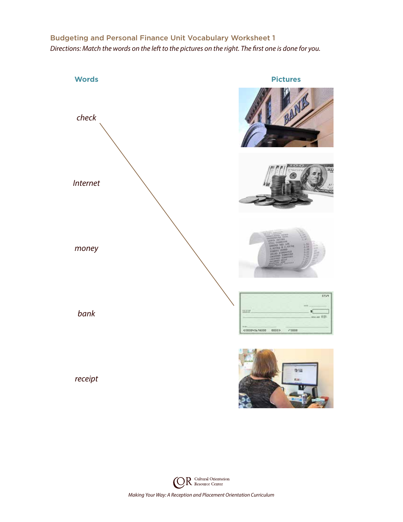## Budgeting and Personal Finance Unit Vocabulary Worksheet 1

*Directions: Match the words on the left to the pictures on the right. The first one is done for you.*